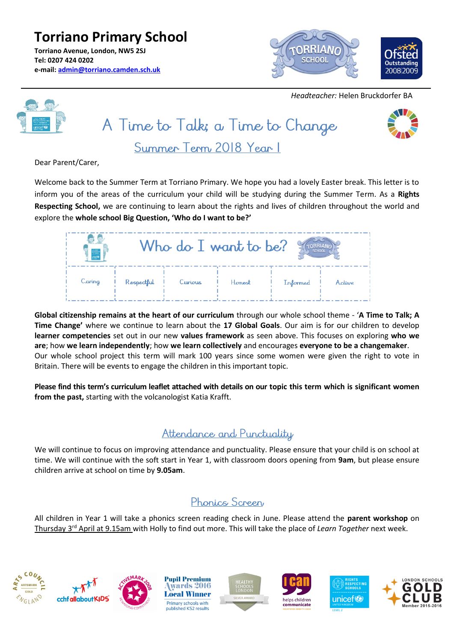**Torriano Primary School Torriano Avenue, London, NW5 2SJ Tel: 0207 424 0202 e-mail: [admin@torriano.camden.sch.uk](mailto:admin@torriano.camden.sch.uk)**



 *Headteacher:* Helen Bruckdorfer BA





Dear Parent/Carer,

Welcome back to the Summer Term at Torriano Primary. We hope you had a lovely Easter break. This letter is to inform you of the areas of the curriculum your child will be studying during the Summer Term. As a **Rights Respecting School,** we are continuing to learn about the rights and lives of children throughout the world and explore the **whole school Big Question, 'Who do I want to be?'**

|        |            | Who do $I$ want to be?<br><b>SCHOOL</b> |        |          |        |
|--------|------------|-----------------------------------------|--------|----------|--------|
| Caring | Respectful | Curious                                 | Honest | Informed | Active |

**Global citizenship remains at the heart of our curriculum** through our whole school theme - '**A Time to Talk; A Time Change'** where we continue to learn about the **17 Global Goals**. Our aim is for our children to develop **learner competencies** set out in our new **values framework** as seen above. This focuses on exploring **who we are**; how **we learn independently**; how **we learn collectively** and encourages **everyone to be a changemaker**. Our whole school project this term will mark 100 years since some women were given the right to vote in Britain. There will be events to engage the children in this important topic.

**Please find this term's curriculum leaflet attached with details on our topic this term which is significant women from the past,** starting with the volcanologist Katia Krafft.

#### Attendance and Punctuality

We will continue to focus on improving attendance and punctuality. Please ensure that your child is on school at time. We will continue with the soft start in Year 1, with classroom doors opening from **9am**, but please ensure children arrive at school on time by **9.05am**.

## Phonics Screen

All children in Year 1 will take a phonics screen reading check in June. Please attend the **parent workshop** on Thursday 3rd April at 9.15am with Holly to find out more. This will take the place of *Learn Together* next week.















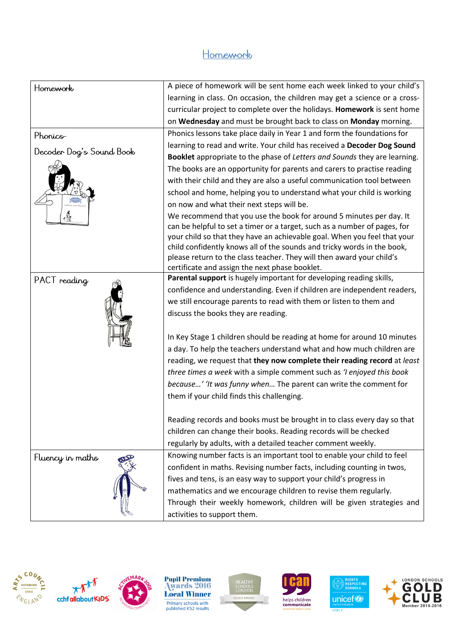### Homework

| Homework                 | A piece of homework will be sent home each week linked to your child's                                                                           |  |  |
|--------------------------|--------------------------------------------------------------------------------------------------------------------------------------------------|--|--|
|                          | learning in class. On occasion, the children may get a science or a cross-                                                                       |  |  |
|                          | curricular project to complete over the holidays. Homework is sent home                                                                          |  |  |
|                          | on Wednesday and must be brought back to class on Monday morning.                                                                                |  |  |
| Phonics-                 | Phonics lessons take place daily in Year 1 and form the foundations for                                                                          |  |  |
| Decoder Dog's Sound Book | learning to read and write. Your child has received a Decoder Dog Sound                                                                          |  |  |
|                          | Booklet appropriate to the phase of Letters and Sounds they are learning.                                                                        |  |  |
|                          | The books are an opportunity for parents and carers to practise reading                                                                          |  |  |
|                          | with their child and they are also a useful communication tool between                                                                           |  |  |
|                          | school and home, helping you to understand what your child is working                                                                            |  |  |
|                          | on now and what their next steps will be.                                                                                                        |  |  |
|                          | We recommend that you use the book for around 5 minutes per day. It                                                                              |  |  |
|                          | can be helpful to set a timer or a target, such as a number of pages, for                                                                        |  |  |
|                          | your child so that they have an achievable goal. When you feel that your                                                                         |  |  |
|                          | child confidently knows all of the sounds and tricky words in the book,<br>please return to the class teacher. They will then award your child's |  |  |
|                          | certificate and assign the next phase booklet.                                                                                                   |  |  |
| PACT reading             | Parental support is hugely important for developing reading skills,                                                                              |  |  |
|                          | confidence and understanding. Even if children are independent readers,                                                                          |  |  |
|                          | we still encourage parents to read with them or listen to them and                                                                               |  |  |
|                          | discuss the books they are reading.                                                                                                              |  |  |
|                          |                                                                                                                                                  |  |  |
|                          | In Key Stage 1 children should be reading at home for around 10 minutes                                                                          |  |  |
|                          | a day. To help the teachers understand what and how much children are                                                                            |  |  |
|                          | reading, we request that they now complete their reading record at least                                                                         |  |  |
|                          | three times a week with a simple comment such as 'I enjoyed this book                                                                            |  |  |
|                          | because' 'It was funny when The parent can write the comment for                                                                                 |  |  |
|                          | them if your child finds this challenging.                                                                                                       |  |  |
|                          |                                                                                                                                                  |  |  |
|                          | Reading records and books must be brought in to class every day so that                                                                          |  |  |
|                          | children can change their books. Reading records will be checked                                                                                 |  |  |
|                          | regularly by adults, with a detailed teacher comment weekly.                                                                                     |  |  |
| Fluency in maths         | Knowing number facts is an important tool to enable your child to feel                                                                           |  |  |
|                          | confident in maths. Revising number facts, including counting in twos,                                                                           |  |  |
|                          | fives and tens, is an easy way to support your child's progress in                                                                               |  |  |
|                          | mathematics and we encourage children to revise them regularly.                                                                                  |  |  |
|                          | Through their weekly homework, children will be given strategies and                                                                             |  |  |
|                          | activities to support them.                                                                                                                      |  |  |





**MAD**